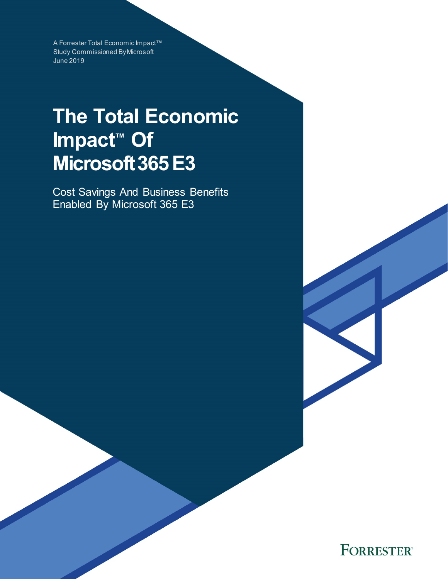A Forrester Total Economic Impact™ Study Commissioned By Microsoft June 2019

# **The Total Economic Impact™ Of Microsoft365 E3**

Cost Savings And Business Benefits Enabled By Microsoft 365 E3

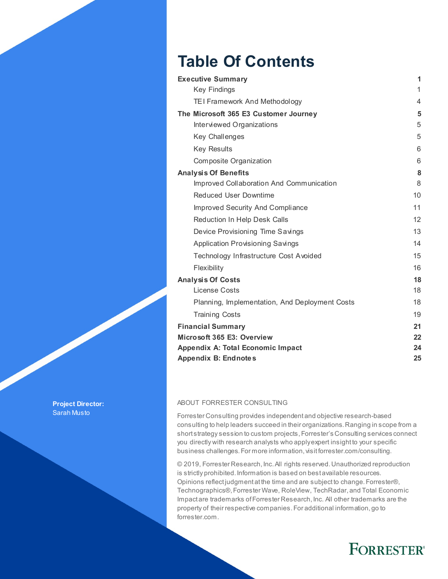## **Table Of Contents**

| <b>Executive Summary</b>                       | 1  |
|------------------------------------------------|----|
| <b>Key Findings</b>                            | 1  |
| TEI Framework And Methodology                  | 4  |
| The Microsoft 365 E3 Customer Journey          | 5  |
| Interviewed Organizations                      | 5  |
| Key Challenges                                 | 5  |
| <b>Key Results</b>                             | 6  |
| Composite Organization                         | 6  |
| <b>Analysis Of Benefits</b>                    | 8  |
| Improved Collaboration And Communication       | 8  |
| <b>Reduced User Downtime</b>                   | 10 |
| <b>Improved Security And Compliance</b>        | 11 |
| Reduction In Help Desk Calls                   | 12 |
| Device Provisioning Time Savings               | 13 |
| <b>Application Provisioning Savings</b>        | 14 |
| Technology Infrastructure Cost Avoided         | 15 |
| Flexibility                                    | 16 |
| <b>Analysis Of Costs</b>                       | 18 |
| License Costs                                  | 18 |
| Planning, Implementation, And Deployment Costs | 18 |
| <b>Training Costs</b>                          | 19 |
| <b>Financial Summary</b>                       | 21 |
| Microsoft 365 E3: Overview                     | 22 |
| <b>Appendix A: Total Economic Impact</b>       | 24 |
| <b>Appendix B: Endnotes</b>                    | 25 |

#### ABOUT FORRESTER CONSULTING

Forrester Consulting provides independent and objective research-based consulting to help leaders succeed in their organizations. Ranging in scope from a short strategy session to custom projects, Forrester's Consulting services connect you directly with research analysts who apply expert insight to your specific business challenges. For more information, visit forrester.com/consulting.

© 2019, Forrester Research, Inc. All rights reserved. Unauthorized reproduction is strictly prohibited. Information is based on best available resources. Opinions reflect judgment at the time and are subject to change. Forrester®, Technographics®, Forrester Wave, RoleView, TechRadar, and Total Economic Impact are trademarks of Forrester Research, Inc. All other trademarks are the property of their respective companies. For additional information, go to forrester.com.

### **FORRESTER®**

**Project Director:** Sarah Musto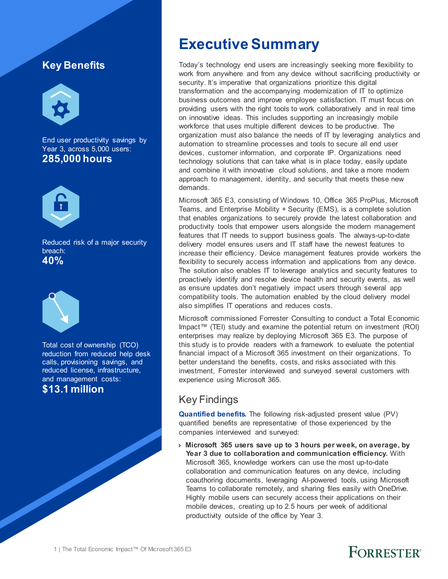### **Key Benefits**



End user productivity savings by Year 3, across 5,000 users: **285,000 hours**



Reduced risk of a major security breach: **40%**



Total cost of ownership (TCO) reduction from reduced help desk calls, provisioning savings, and reduced license, infrastructure, and management costs: **\$13.1 million**

### **Executive Summary**

Today's technology end users are increasingly seeking more flexibility to work from anywhere and from any device without sacrificing productivity or security. It's imperative that organizations prioritize this digital transformation and the accompanying modernization of IT to optimize business outcomes and improve employee satisfaction. IT must focus on providing users with the right tools to work collaboratively and in real time on innovative ideas. This includes supporting an increasingly mobile workforce that uses multiple different devices to be productive. The organization must also balance the needs of IT by leveraging analytics and automation to streamline processes and tools to secure all end user devices, customer information, and corporate IP. Organizations need technology solutions that can take what is in place today, easily update and combine it with innovative cloud solutions, and take a more modern approach to management, identity, and security that meets these new demands.

Microsoft 365 E3, consisting of Windows 10, Office 365 ProPlus, Microsoft Teams, and Enterprise Mobility + Security (EMS), is a complete solution that enables organizations to securely provide the latest collaboration and productivity tools that empower users alongside the modern management features that IT needs to support business goals. The always-up-to-date delivery model ensures users and IT staff have the newest features to increase their efficiency. Device management features provide workers the flexibility to securely access information and applications from any device. The solution also enables IT to leverage analytics and security features to proactively identify and resolve device health and security events, as well as ensure updates don't negatively impact users through several app compatibility tools. The automation enabled by the cloud delivery model also simplifies IT operations and reduces costs.

Microsoft commissioned Forrester Consulting to conduct a Total Economic Impact™ (TEI) study and examine the potential return on investment (ROI) enterprises may realize by deploying Microsoft 365 E3. The purpose of this study is to provide readers with a framework to evaluate the potential financial impact of a Microsoft 365 investment on their organizations. To better understand the benefits, costs, and risks associated with this investment, Forrester interviewed and surveyed several customers with experience using Microsoft 365.

### Key Findings

**Quantified benefits.** The following risk-adjusted present value (PV) quantified benefits are representative of those experienced by the companies interviewed and surveyed:

› **Microsoft 365 users save up to 3 hours per week, on average, by Year 3 due to collaboration and communication efficiency.** With Microsoft 365, knowledge workers can use the most up-to-date collaboration and communication features on any device, including coauthoring documents, leveraging AI-powered tools, using Microsoft Teams to collaborate remotely, and sharing files easily with OneDrive. Highly mobile users can securely access their applications on their mobile devices, creating up to 2.5 hours per week of additional productivity outside of the office by Year 3.

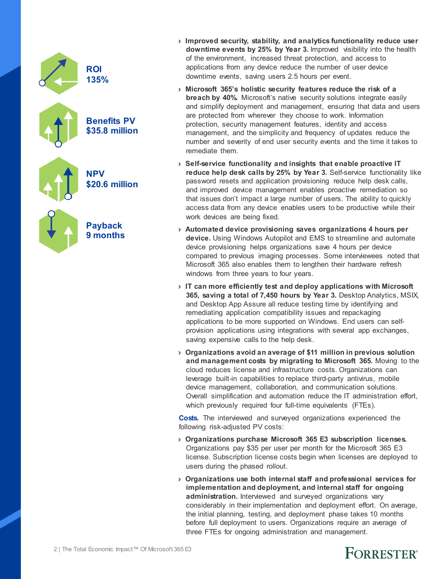

- › **Improved security, stability, and analytics functionality reduce user downtime events by 25% by Year 3.** Improved visibility into the health of the environment, increased threat protection, and access to applications from any device reduce the number of user device downtime events, saving users 2.5 hours per event.
- › **Microsoft 365's holistic security features reduce the risk of a breach by 40%.** Microsoft's native security solutions integrate easily and simplify deployment and management, ensuring that data and users are protected from wherever they choose to work. Information protection, security management features, identity and access management, and the simplicity and frequency of updates reduce the number and severity of end user security events and the time it takes to remediate them.
- › **Self-service functionality and insights that enable proactive IT reduce help desk calls by 25% by Year 3.** Self-service functionality like password resets and application provisioning reduce help desk calls, and improved device management enables proactive remediation so that issues don't impact a large number of users. The ability to quickly access data from any device enables users to be productive while their work devices are being fixed.
- › **Automated device provisioning saves organizations 4 hours per device.** Using Windows Autopilot and EMS to streamline and automate device provisioning helps organizations save 4 hours per device compared to previous imaging processes. Some interviewees noted that Microsoft 365 also enables them to lengthen their hardware refresh windows from three years to four years.
- › **IT can more efficiently test and deploy applications with Microsoft 365, saving a total of 7,450 hours by Year 3.** Desktop Analytics, MSIX, and Desktop App Assure all reduce testing time by identifying and remediating application compatibility issues and repackaging applications to be more supported on Windows. End users can selfprovision applications using integrations with several app exchanges, saving expensive calls to the help desk.
- › **Organizations avoid an average of \$11 million in previous solution and management costs by migrating to Microsoft 365.** Moving to the cloud reduces license and infrastructure costs. Organizations can leverage built-in capabilities to replace third-party antivirus, mobile device management, collaboration, and communication solutions. Overall simplification and automation reduce the IT administration effort, which previously required four full-time equivalents (FTEs).

**Costs.** The interviewed and surveyed organizations experienced the following risk-adjusted PV costs:

- › **Organizations purchase Microsoft 365 E3 subscription licenses.** Organizations pay \$35 per user per month for the Microsoft 365 E3 license. Subscription license costs begin when licenses are deployed to users during the phased rollout.
- › **Organizations use both internal staff and professional services for implementation and deployment, and internal staff for ongoing**  administration. Interviewed and surveyed organizations vary considerably in their implementation and deployment effort. On average, the initial planning, testing, and deployment phase takes 10 months before full deployment to users. Organizations require an average of three FTEs for ongoing administration and management.

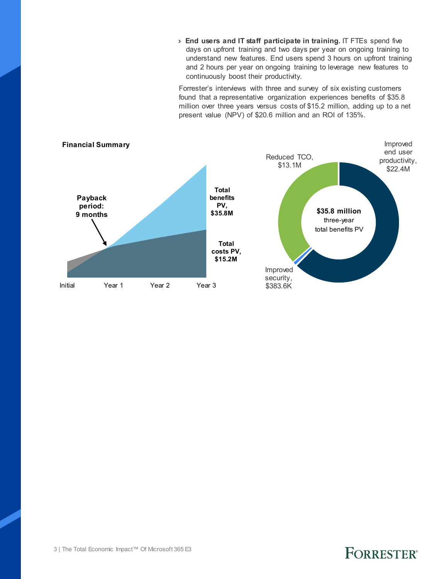› **End users and IT staff participate in training.** IT FTEs spend five days on upfront training and two days per year on ongoing training to understand new features. End users spend 3 hours on upfront training and 2 hours per year on ongoing training to leverage new features to continuously boost their productivity.

Forrester's interviews with three and survey of six existing customers found that a representative organization experiences benefits of \$35.8 million over three years versus costs of \$15.2 million, adding up to a net present value (NPV) of \$20.6 million and an ROI of 135%.

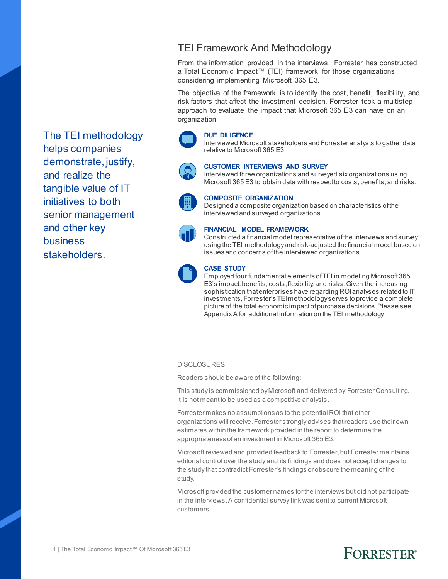### TEI Framework And Methodology

From the information provided in the interviews, Forrester has constructed a Total Economic Impact™ (TEI) framework for those organizations considering implementing Microsoft 365 E3.

The objective of the framework is to identify the cost, benefit, flexibility, and risk factors that affect the investment decision. Forrester took a multistep approach to evaluate the impact that Microsoft 365 E3 can have on an organization:

#### **DUE DILIGENCE**

Interviewed Microsoft stakeholders and Forrester analysts to gather data relative to Microsoft 365 E3.



#### **CUSTOMER INTERVIEWS AND SURVEY**

Interviewed three organizations and surveyed six organizations using Microsoft 365 E3 to obtain data with respect to costs, benefits, and risks.



#### **COMPOSITE ORGANIZATION**

Designed a composite organization based on characteristics of the interviewed and surveyed organizations.



#### **FINANCIAL MODEL FRAMEWORK**

Constructed a financial model representative of the interviews and survey using the TEI methodology and risk-adjusted the financial model based on issues and concerns of the interviewed organizations.



#### **CASE STUDY**

Employed four fundamental elements of TEI in modeling Microsoft 365 E3's impact: benefits, costs, flexibility, and risks. Given the increasing sophistication that enterprises have regarding ROI analyses related to IT investments, Forrester's TEI methodology serves to provide a complete picture of the total economic impact of purchase decisions. Please see Appendix A for additional information on the TEI methodology.

#### **DISCLOSURES**

Readers should be aware of the following:

This study is commissioned by Microsoft and delivered by Forrester Consulting. It is not meant to be used as a competitive analysis.

Forrester makes no assumptions as to the potential ROI that other organizations will receive. Forrester strongly advises that readers use their own estimates within the framework provided in the report to determine the appropriateness of an investment in Microsoft 365 E3.

Microsoft reviewed and provided feedback to Forrester, but Forrester maintains editorial control over the study and its findings and does not accept changes to the study that contradict Forrester's findings or obscure the meaning of the study.

Microsoft provided the customer names for the interviews but did not participate in the interviews.A confidential survey link was sent to current Microsoft customers.

The TEI methodology helps companies demonstrate, justify, and realize the tangible value of IT initiatives to both senior management and other key business stakeholders.

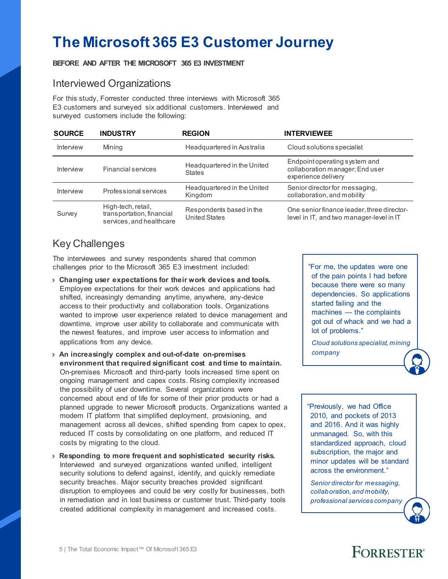## **The Microsoft 365 E3 Customer Journey**

#### **BEFORE AND AFTER THE MICROSOFT 365 E3 INVESTMENT**

#### Interviewed Organizations

For this study, Forrester conducted three interviews with Microsoft 365 E3 customers and surveyed six additional customers. Interviewed and surveyed customers include the following:

| <b>SOURCE</b> | <b>INDUSTRY</b>                                                             | <b>REGION</b>                                    | <b>INTERVIEWEE</b>                                                                      |
|---------------|-----------------------------------------------------------------------------|--------------------------------------------------|-----------------------------------------------------------------------------------------|
| Interview     | Mining                                                                      | Headquartered in Australia                       | Cloud solutions specialist                                                              |
| Interview     | <b>Financial services</b>                                                   | Headquartered in the United<br><b>States</b>     | Endpoint operating system and<br>collaboration manager; End user<br>experience delivery |
| Interview     | Professional services                                                       | Headquartered in the United<br>Kingdom           | Senior director for messaging,<br>collaboration, and mobility                           |
| Survey        | High-tech, retail,<br>transportation, financial<br>services, and healthcare | Respondents based in the<br><b>United States</b> | One senior finance leader, three director-<br>level in IT, and two manager-level in IT  |

### Key Challenges

The interviewees and survey respondents shared that common challenges prior to the Microsoft 365 E3 investment included:

- › **Changing user expectations for their work devices and tools.**  Employee expectations for their work devices and applications had shifted, increasingly demanding anytime, anywhere, any-device access to their productivity and collaboration tools. Organizations wanted to improve user experience related to device management and downtime, improve user ability to collaborate and communicate with the newest features, and improve user access to information and applications from any device.
- › **An increasingly complex and out-of-date on-premises environment that required significant cost and time to maintain.** On-premises Microsoft and third-party tools increased time spent on ongoing management and capex costs. Rising complexity increased the possibility of user downtime. Several organizations were concerned about end of life for some of their prior products or had a planned upgrade to newer Microsoft products. Organizations wanted a modern IT platform that simplified deployment, provisioning, and management across all devices, shifted spending from capex to opex, reduced IT costs by consolidating on one platform, and reduced IT costs by migrating to the cloud.
- › **Responding to more frequent and sophisticated security risks.** Interviewed and surveyed organizations wanted unified, intelligent security solutions to defend against, identify, and quickly remediate security breaches. Major security breaches provided significant disruption to employees and could be very costly for businesses, both in remediation and in lost business or customer trust. Third-party tools created additional complexity in management and increased costs.

"For me, the updates were one of the pain points I had before because there were so many dependencies. So applications started failing and the machines — the complaints got out of whack and we had a lot of problems."

*Cloud solutions specialist, mining company*

"Previously, we had Office 2010, and pockets of 2013 and 2016. And it was highly unmanaged. So, with this standardized approach, cloud subscription, the major and minor updates will be standard across the environment."

*Senior director for messaging, collaboration, and mobility, professional services company*

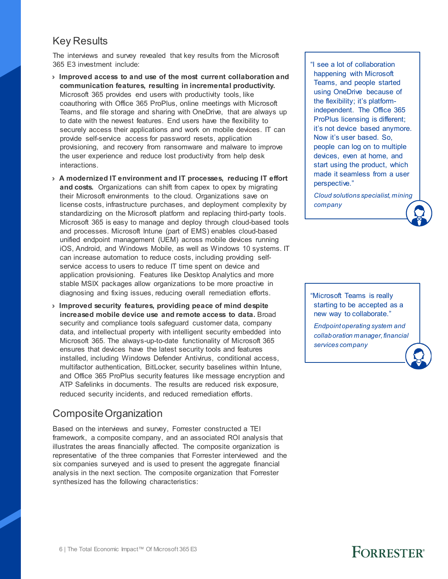#### Key Results

The interviews and survey revealed that key results from the Microsoft 365 E3 investment include:

- › **Improved access to and use of the most current collaboration and communication features, resulting in incremental productivity.** Microsoft 365 provides end users with productivity tools, like coauthoring with Office 365 ProPlus, online meetings with Microsoft Teams, and file storage and sharing with OneDrive, that are always up to date with the newest features. End users have the flexibility to securely access their applications and work on mobile devices. IT can provide self-service access for password resets, application provisioning, and recovery from ransomware and malware to improve the user experience and reduce lost productivity from help desk interactions.
- › **A modernized IT environment and IT processes, reducing IT effort and costs.** Organizations can shift from capex to opex by migrating their Microsoft environments to the cloud. Organizations save on license costs, infrastructure purchases, and deployment complexity by standardizing on the Microsoft platform and replacing third-party tools. Microsoft 365 is easy to manage and deploy through cloud-based tools and processes. Microsoft Intune (part of EMS) enables cloud-based unified endpoint management (UEM) across mobile devices running iOS, Android, and Windows Mobile, as well as Windows 10 systems. IT can increase automation to reduce costs, including providing selfservice access to users to reduce IT time spent on device and application provisioning. Features like Desktop Analytics and more stable MSIX packages allow organizations to be more proactive in diagnosing and fixing issues, reducing overall remediation efforts.
- › **Improved security features, providing peace of mind despite increased mobile device use and remote access to data.** Broad security and compliance tools safeguard customer data, company data, and intellectual property with intelligent security embedded into Microsoft 365. The always-up-to-date functionality of Microsoft 365 ensures that devices have the latest security tools and features installed, including Windows Defender Antivirus, conditional access, multifactor authentication, BitLocker, security baselines within Intune, and Office 365 ProPlus security features like message encryption and ATP Safelinks in documents. The results are reduced risk exposure, reduced security incidents, and reduced remediation efforts.

#### Composite Organization

Based on the interviews and survey, Forrester constructed a TEI framework, a composite company, and an associated ROI analysis that illustrates the areas financially affected. The composite organization is representative of the three companies that Forrester interviewed and the six companies surveyed and is used to present the aggregate financial analysis in the next section. The composite organization that Forrester synthesized has the following characteristics:

"I see a lot of collaboration happening with Microsoft Teams, and people started using OneDrive because of the flexibility; it's platformindependent. The Office 365 ProPlus licensing is different; it's not device based anymore. Now it's user based. So, people can log on to multiple devices, even at home, and start using the product, which made it seamless from a user perspective."

*Cloud solutions specialist, mining company*

"Microsoft Teams is really starting to be accepted as a new way to collaborate."

*Endpoint operating system and collaboration manager, financial services company*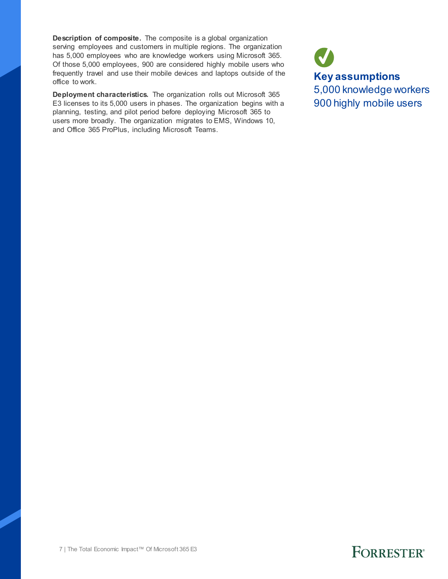**Description of composite.** The composite is a global organization serving employees and customers in multiple regions. The organization has 5,000 employees who are knowledge workers using Microsoft 365. Of those 5,000 employees, 900 are considered highly mobile users who frequently travel and use their mobile devices and laptops outside of the office to work.

**Deployment characteristics.** The organization rolls out Microsoft 365 E3 licenses to its 5,000 users in phases. The organization begins with a planning, testing, and pilot period before deploying Microsoft 365 to users more broadly. The organization migrates to EMS, Windows 10, and Office 365 ProPlus, including Microsoft Teams.

**Key assumptions** 5,000 knowledge workers 900 highly mobile users

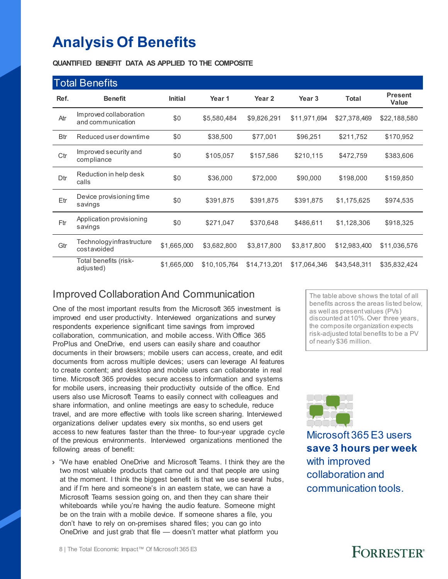## **Analysis Of Benefits**

**QUANTIFIED BENEFIT DATA AS APPLIED TO THE COMPOSITE**

|            | <b>Total Benefits</b>                       |                |              |              |                   |              |                                |
|------------|---------------------------------------------|----------------|--------------|--------------|-------------------|--------------|--------------------------------|
| Ref.       | <b>Benefit</b>                              | <b>Initial</b> | Year 1       | Year 2       | Year <sub>3</sub> | <b>Total</b> | <b>Present</b><br><b>Value</b> |
| Atr        | Improved collaboration<br>and communication | \$0            | \$5,580,484  | \$9,826,291  | \$11,971,694      | \$27,378,469 | \$22,188,580                   |
| <b>Btr</b> | Reduced user downtime                       | \$0            | \$38,500     | \$77,001     | \$96,251          | \$211,752    | \$170,952                      |
| Ctr        | Improved security and<br>compliance         | \$0            | \$105,057    | \$157,586    | \$210,115         | \$472,759    | \$383,606                      |
| Dtr        | Reduction in help desk<br>calls             | \$0            | \$36,000     | \$72,000     | \$90,000          | \$198,000    | \$159,850                      |
| Etr        | Device provisioning time<br>savings         | \$0            | \$391,875    | \$391,875    | \$391,875         | \$1,175,625  | \$974,535                      |
| Ftr        | Application provisioning<br>savings         | \$0            | \$271,047    | \$370,648    | \$486,611         | \$1,128,306  | \$918,325                      |
| Gtr        | Technologyinfrastructure<br>costavoided     | \$1,665,000    | \$3,682,800  | \$3,817,800  | \$3,817,800       | \$12,983,400 | \$11,036,576                   |
|            | Total benefits (risk-<br>adjusted)          | \$1,665,000    | \$10,105,764 | \$14,713,201 | \$17,064,346      | \$43,548,311 | \$35,832,424                   |

### Improved Collaboration And Communication

One of the most important results from the Microsoft 365 investment is improved end user productivity. Interviewed organizations and survey respondents experience significant time savings from improved collaboration, communication, and mobile access. With Office 365 ProPlus and OneDrive, end users can easily share and coauthor documents in their browsers; mobile users can access, create, and edit documents from across multiple devices; users can leverage AI features to create content; and desktop and mobile users can collaborate in real time. Microsoft 365 provides secure access to information and systems for mobile users, increasing their productivity outside of the office. End users also use Microsoft Teams to easily connect with colleagues and share information, and online meetings are easy to schedule, reduce travel, and are more effective with tools like screen sharing. Interviewed organizations deliver updates every six months, so end users get access to new features faster than the three- to four-year upgrade cycle of the previous environments. Interviewed organizations mentioned the following areas of benefit:

› "We have enabled OneDrive and Microsoft Teams. I think they are the two most valuable products that came out and that people are using at the moment. I think the biggest benefit is that we use several hubs, and if I'm here and someone's in an eastern state, we can have a Microsoft Teams session going on, and then they can share their whiteboards while you're having the audio feature. Someone might be on the train with a mobile device. If someone shares a file, you don't have to rely on on-premises shared files; you can go into OneDrive and just grab that file — doesn't matter what platform you

The table above shows the total of all benefits across the areas listed below, as well as present values (PVs) discounted at 10%. Over three years, the composite organization expects risk-adjusted total benefits to be a PV of nearly \$36 million.



Microsoft 365 E3 users **save 3 hours per week** with improved collaboration and communication tools.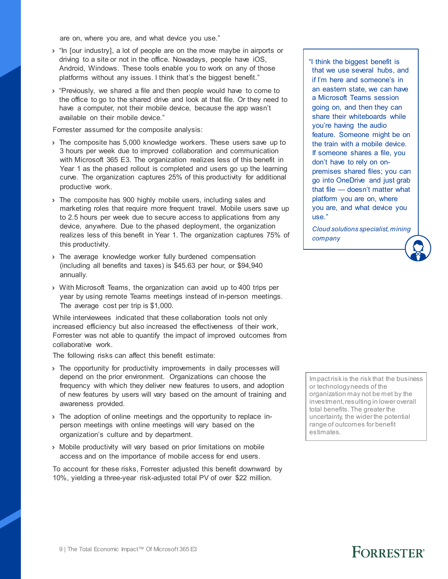are on, where you are, and what device you use."

- › "In [our industry], a lot of people are on the move maybe in airports or driving to a site or not in the office. Nowadays, people have iOS, Android, Windows. These tools enable you to work on any of those platforms without any issues. I think that's the biggest benefit."
- › "Previously, we shared a file and then people would have to come to the office to go to the shared drive and look at that file. Or they need to have a computer, not their mobile device, because the app wasn't available on their mobile device."

Forrester assumed for the composite analysis:

- › The composite has 5,000 knowledge workers. These users save up to 3 hours per week due to improved collaboration and communication with Microsoft 365 E3. The organization realizes less of this benefit in Year 1 as the phased rollout is completed and users go up the learning curve. The organization captures 25% of this productivity for additional productive work.
- › The composite has 900 highly mobile users, including sales and marketing roles that require more frequent travel. Mobile users save up to 2.5 hours per week due to secure access to applications from any device, anywhere. Due to the phased deployment, the organization realizes less of this benefit in Year 1. The organization captures 75% of this productivity.
- › The average knowledge worker fully burdened compensation (including all benefits and taxes) is \$45.63 per hour, or \$94,940 annually.
- › With Microsoft Teams, the organization can avoid up to 400 trips per year by using remote Teams meetings instead of in-person meetings. The average cost per trip is \$1,000.

While interviewees indicated that these collaboration tools not only increased efficiency but also increased the effectiveness of their work, Forrester was not able to quantify the impact of improved outcomes from collaborative work.

The following risks can affect this benefit estimate:

- › The opportunity for productivity improvements in daily processes will depend on the prior environment. Organizations can choose the frequency with which they deliver new features to users, and adoption of new features by users will vary based on the amount of training and awareness provided.
- › The adoption of online meetings and the opportunity to replace inperson meetings with online meetings will vary based on the organization's culture and by department.
- › Mobile productivity will vary based on prior limitations on mobile access and on the importance of mobile access for end users.

To account for these risks, Forrester adjusted this benefit downward by 10%, yielding a three-year risk-adjusted total PV of over \$22 million.

"I think the biggest benefit is that we use several hubs, and if I'm here and someone's in an eastern state, we can have a Microsoft Teams session going on, and then they can share their whiteboards while you're having the audio feature. Someone might be on the train with a mobile device. If someone shares a file, you don't have to rely on onpremises shared files; you can go into OneDrive and just grab that file — doesn't matter what platform you are on, where you are, and what device you use."

*Cloud solutions specialist, mining company*

Impact risk is the risk that the business or technology needs of the organization may not be met by the investment, resulting in lower overall total benefits. The greater the uncertainty, the wider the potential range of outcomes for benefit estimates.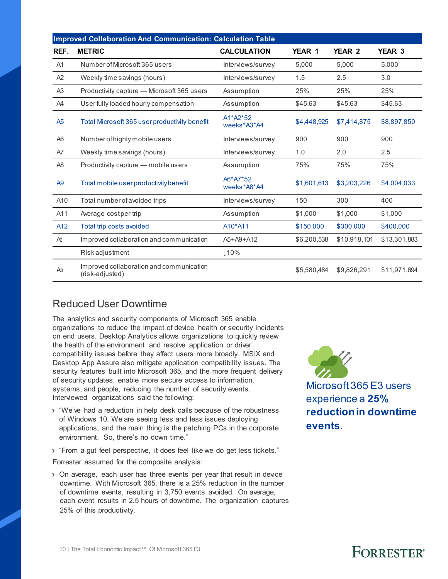|                 | <b>Improved Collaboration And Communication: Calculation Table</b> |                         |             |               |               |  |  |  |  |  |  |
|-----------------|--------------------------------------------------------------------|-------------------------|-------------|---------------|---------------|--|--|--|--|--|--|
| REF.            | <b>METRIC</b>                                                      | <b>CALCULATION</b>      | YEAR 1      | <b>YEAR 2</b> | <b>YEAR 3</b> |  |  |  |  |  |  |
| A1              | Number of Microsoft 365 users                                      | Interviews/survey       | 5,000       | 5,000         | 5,000         |  |  |  |  |  |  |
| A2              | Weekly time savings (hours)                                        | Interviews/survey       | 1.5         | 2.5           | 3.0           |  |  |  |  |  |  |
| A <sub>3</sub>  | Productivity capture - Microsoft 365 users                         | Assumption              | 25%         | 25%           | 25%           |  |  |  |  |  |  |
| A4              | User fully loaded hourly compensation                              | Assumption              | \$45.63     | \$45.63       | \$45.63       |  |  |  |  |  |  |
| A5              | Total Microsoft 365 user productivity benefit                      | A1*A2*52<br>weeks*A3*A4 | \$4,448,925 | \$7,414,875   | \$8,897,850   |  |  |  |  |  |  |
| A <sub>6</sub>  | Number of highly mobile users                                      | Interviews/survey       | 900         | 900           | 900           |  |  |  |  |  |  |
| A7              | Weekly time savings (hours)                                        | Interviews/survey       | 1.0         | 2.0           | 2.5           |  |  |  |  |  |  |
| A <sub>8</sub>  | Productivity capture - mobile users                                | Assumption              | 75%         | 75%           | 75%           |  |  |  |  |  |  |
| A <sub>9</sub>  | Total mobile user productivity benefit                             | A6*A7*52<br>weeks*A8*A4 | \$1,601,613 | \$3,203,226   | \$4,004,033   |  |  |  |  |  |  |
| A10             | Total number of avoided trips                                      | Interviews/survey       | 150         | 300           | 400           |  |  |  |  |  |  |
| A11             | Average costper trip                                               | Assumption              | \$1,000     | \$1,000       | \$1,000       |  |  |  |  |  |  |
| A <sub>12</sub> | Total trip costs avoided                                           | A10*A11                 | \$150,000   | \$300,000     | \$400,000     |  |  |  |  |  |  |
| At              | Improved collaboration and communication                           | A5+A9+A12               | \$6,200,538 | \$10,918,101  | \$13,301,883  |  |  |  |  |  |  |
|                 | Riskadjustment                                                     | ↓10%                    |             |               |               |  |  |  |  |  |  |
| Atr             | Improved collaboration and communication<br>(risk-adjusted)        |                         | \$5,580,484 | \$9,826,291   | \$11,971,694  |  |  |  |  |  |  |

#### Reduced User Downtime

The analytics and security components of Microsoft 365 enable organizations to reduce the impact of device health or security incidents on end users. Desktop Analytics allows organizations to quickly review the health of the environment and resolve application or driver compatibility issues before they affect users more broadly. MSIX and Desktop App Assure also mitigate application compatibility issues. The security features built into Microsoft 365, and the more frequent delivery of security updates, enable more secure access to information, systems, and people, reducing the number of security events. Interviewed organizations said the following:

- › "We've had a reduction in help desk calls because of the robustness of Windows 10. We are seeing less and less issues deploying applications, and the main thing is the patching PCs in the corporate environment. So, there's no down time."
- › "From a gut feel perspective, it does feel like we do get less tickets."

Forrester assumed for the composite analysis:

› On average, each user has three events per year that result in device downtime. With Microsoft 365, there is a 25% reduction in the number of downtime events, resulting in 3,750 events avoided. On average, each event results in 2.5 hours of downtime. The organization captures 25% of this productivity.

Microsoft 365 E3 users experience a **25%** 

**reduction in downtime events**.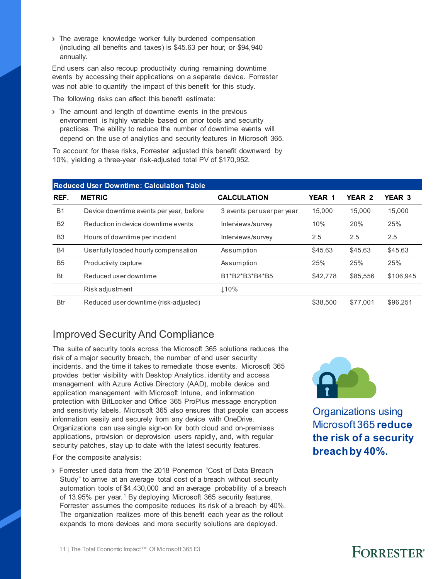› The average knowledge worker fully burdened compensation (including all benefits and taxes) is \$45.63 per hour, or \$94,940 annually.

End users can also recoup productivity during remaining downtime events by accessing their applications on a separate device. Forrester was not able to quantify the impact of this benefit for this study.

The following risks can affect this benefit estimate:

› The amount and length of downtime events in the previous environment is highly variable based on prior tools and security practices. The ability to reduce the number of downtime events will depend on the use of analytics and security features in Microsoft 365.

To account for these risks, Forrester adjusted this benefit downward by 10%, yielding a three-year risk-adjusted total PV of \$170,952.

|                | <b>Reduced User Downtime: Calculation Table</b> |                            |          |               |               |  |  |  |  |  |  |
|----------------|-------------------------------------------------|----------------------------|----------|---------------|---------------|--|--|--|--|--|--|
| REF.           | <b>METRIC</b>                                   | <b>CALCULATION</b>         | YEAR 1   | <b>YEAR 2</b> | <b>YEAR 3</b> |  |  |  |  |  |  |
| <b>B1</b>      | Device downtime events per year, before         | 3 events per user per year | 15.000   | 15.000        | 15,000        |  |  |  |  |  |  |
| <b>B2</b>      | Reduction in device downtime events             | Interviews/survey          | 10%      | 20%           | 25%           |  |  |  |  |  |  |
| B <sub>3</sub> | Hours of downtime per incident                  | Interviews/survey          | 2.5      | 2.5           | 2.5           |  |  |  |  |  |  |
| <b>B4</b>      | User fully loaded hourly compensation           | Assumption                 | \$45.63  | \$45.63       | \$45.63       |  |  |  |  |  |  |
| <b>B5</b>      | Productivity capture                            | Assumption                 | 25%      | 25%           | 25%           |  |  |  |  |  |  |
| <b>Bt</b>      | Reduced user downtime                           | B1*B2*B3*B4*B5             | \$42,778 | \$85,556      | \$106,945     |  |  |  |  |  |  |
|                | Riskadjustment                                  | 110%                       |          |               |               |  |  |  |  |  |  |
| <b>Btr</b>     | Reduced user downtime (risk-adjusted)           |                            | \$38,500 | \$77.001      | \$96.251      |  |  |  |  |  |  |

#### Improved Security And Compliance

The suite of security tools across the Microsoft 365 solutions reduces the risk of a major security breach, the number of end user security incidents, and the time it takes to remediate those events. Microsoft 365 provides better visibility with Desktop Analytics, identity and access management with Azure Active Directory (AAD), mobile device and application management with Microsoft Intune, and information protection with BitLocker and Office 365 ProPlus message encryption and sensitivity labels. Microsoft 365 also ensures that people can access information easily and securely from any device with OneDrive. Organizations can use single sign-on for both cloud and on-premises applications, provision or deprovision users rapidly, and, with regular security patches, stay up to date with the latest security features.

For the composite analysis:

› Forrester used data from the 2018 Ponemon "Cost of Data Breach Study" to arrive at an average total cost of a breach without security automation tools of \$4,430,000 and an average probability of a breach of [1](#page-26-0)3.95% per year.<sup>1</sup> By deploying Microsoft 365 security features, Forrester assumes the composite reduces its risk of a breach by 40%. The organization realizes more of this benefit each year as the rollout expands to more devices and more security solutions are deployed.



Organizations using Microsoft 365 **reduce the risk of a security breach by 40%.**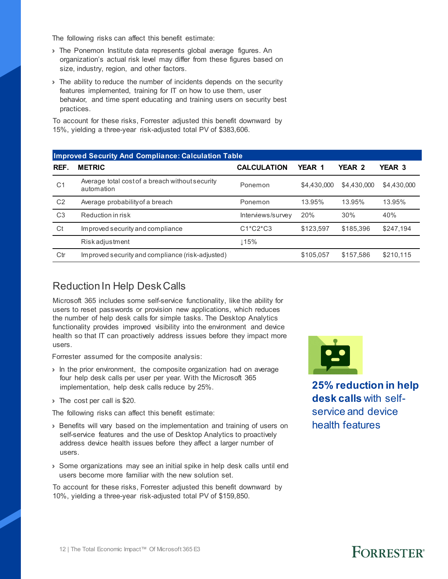The following risks can affect this benefit estimate:

- › The Ponemon Institute data represents global average figures. An organization's actual risk level may differ from these figures based on size, industry, region, and other factors.
- › The ability to reduce the number of incidents depends on the security features implemented, training for IT on how to use them, user behavior, and time spent educating and training users on security best practices.

To account for these risks, Forrester adjusted this benefit downward by 15%, yielding a three-year risk-adjusted total PV of \$383,606.

| <b>Improved Security And Compliance: Calculation Table</b> |                                                               |                    |             |             |             |  |  |  |  |  |  |
|------------------------------------------------------------|---------------------------------------------------------------|--------------------|-------------|-------------|-------------|--|--|--|--|--|--|
| REF.                                                       | <b>METRIC</b>                                                 | <b>CALCULATION</b> | YEAR 1      | YEAR 2      | YEAR 3      |  |  |  |  |  |  |
| C <sub>1</sub>                                             | Average total cost of a breach without security<br>automation | Ponemon            | \$4,430,000 | \$4,430,000 | \$4,430,000 |  |  |  |  |  |  |
| C <sub>2</sub>                                             | Average probability of a breach                               | Ponemon            | 13.95%      | 13.95%      | 13.95%      |  |  |  |  |  |  |
| C <sub>3</sub>                                             | Reduction in risk                                             | Interviews/survey  | 20%         | 30%         | 40%         |  |  |  |  |  |  |
| Ct                                                         | Improved security and compliance                              | $C1*C2*C3$         | \$123.597   | \$185,396   | \$247,194   |  |  |  |  |  |  |
|                                                            | <b>Riskadjustment</b>                                         | Լ15%               |             |             |             |  |  |  |  |  |  |
| Ctr                                                        | Improved security and compliance (risk-adjusted)              |                    | \$105.057   | \$157.586   | \$210,115   |  |  |  |  |  |  |

#### Reduction In Help Desk Calls

Microsoft 365 includes some self-service functionality, like the ability for users to reset passwords or provision new applications, which reduces the number of help desk calls for simple tasks. The Desktop Analytics functionality provides improved visibility into the environment and device health so that IT can proactively address issues before they impact more users.

Forrester assumed for the composite analysis:

- › In the prior environment, the composite organization had on average four help desk calls per user per year. With the Microsoft 365 implementation, help desk calls reduce by 25%.
- › The cost per call is \$20.

The following risks can affect this benefit estimate:

- › Benefits will vary based on the implementation and training of users on self-service features and the use of Desktop Analytics to proactively address device health issues before they affect a larger number of users.
- › Some organizations may see an initial spike in help desk calls until end users become more familiar with the new solution set.

To account for these risks, Forrester adjusted this benefit downward by 10%, yielding a three-year risk-adjusted total PV of \$159,850.



**25% reduction in help desk calls** with selfservice and device health features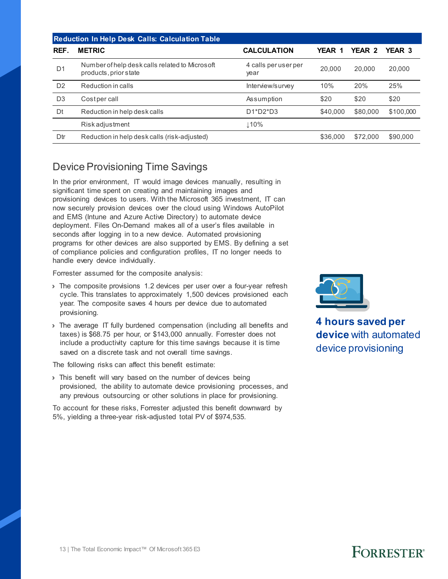|                | <b>Reduction In Help Desk Calls: Calculation Table</b>                  |                              |          |          |           |  |  |  |  |  |  |
|----------------|-------------------------------------------------------------------------|------------------------------|----------|----------|-----------|--|--|--|--|--|--|
| REF.           | <b>METRIC</b>                                                           | <b>CALCULATION</b>           | YEAR 1   | YEAR 2   | YEAR 3    |  |  |  |  |  |  |
| D <sub>1</sub> | Number of help desk calls related to Microsoft<br>products, prior state | 4 calls per user per<br>year | 20,000   | 20,000   | 20,000    |  |  |  |  |  |  |
| D <sub>2</sub> | Reduction in calls                                                      | Interview/survey             | 10%      | 20%      | 25%       |  |  |  |  |  |  |
| D <sub>3</sub> | Cost per call                                                           | Assumption                   | \$20     | \$20     | \$20      |  |  |  |  |  |  |
| Dt             | Reduction in help desk calls                                            | $D1^*D2^*D3$                 | \$40,000 | \$80,000 | \$100,000 |  |  |  |  |  |  |
|                | <b>Riskadjustment</b>                                                   | 110%                         |          |          |           |  |  |  |  |  |  |
| Dtr            | Reduction in help desk calls (risk-adjusted)                            |                              | \$36,000 | \$72,000 | \$90,000  |  |  |  |  |  |  |

#### Device Provisioning Time Savings

In the prior environment, IT would image devices manually, resulting in significant time spent on creating and maintaining images and provisioning devices to users. With the Microsoft 365 investment, IT can now securely provision devices over the cloud using Windows AutoPilot and EMS (Intune and Azure Active Directory) to automate device deployment. Files On-Demand makes all of a user's files available in seconds after logging in to a new device. Automated provisioning programs for other devices are also supported by EMS. By defining a set of compliance policies and configuration profiles, IT no longer needs to handle every device individually.

Forrester assumed for the composite analysis:

- › The composite provisions 1.2 devices per user over a four-year refresh cycle. This translates to approximately 1,500 devices provisioned each year. The composite saves 4 hours per device due to automated provisioning.
- › The average IT fully burdened compensation (including all benefits and taxes) is \$68.75 per hour, or \$143,000 annually. Forrester does not include a productivity capture for this time savings because it is time saved on a discrete task and not overall time savings.

The following risks can affect this benefit estimate:

› This benefit will vary based on the number of devices being provisioned, the ability to automate device provisioning processes, and any previous outsourcing or other solutions in place for provisioning.

To account for these risks, Forrester adjusted this benefit downward by 5%, yielding a three-year risk-adjusted total PV of \$974,535.



**4 hours saved per device** with automated device provisioning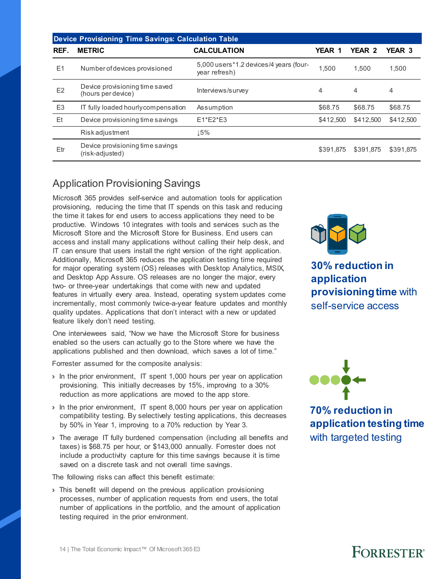|                | <b>Device Provisioning Time Savings: Calculation Table</b> |                                                         |               |           |           |  |  |  |  |  |
|----------------|------------------------------------------------------------|---------------------------------------------------------|---------------|-----------|-----------|--|--|--|--|--|
| REF.           | <b>METRIC</b>                                              | <b>CALCULATION</b>                                      | <b>YEAR 1</b> | YEAR 2    | YEAR 3    |  |  |  |  |  |
| E1             | Number of devices provisioned                              | 5,000 users*1.2 devices/4 years (four-<br>year refresh) | 1.500         | 1.500     | 1.500     |  |  |  |  |  |
| E <sub>2</sub> | Device provisioning time saved<br>(hours per device)       | Interviews/survey                                       | 4             | 4         | 4         |  |  |  |  |  |
| E <sub>3</sub> | IT fully loaded hourly compensation                        | Assumption                                              | \$68.75       | \$68.75   | \$68.75   |  |  |  |  |  |
| Et             | Device provisioning time savings                           | $E1*E2*E3$                                              | \$412,500     | \$412,500 | \$412,500 |  |  |  |  |  |
|                | <b>Riskadjustment</b>                                      | ⊥5%                                                     |               |           |           |  |  |  |  |  |
| Etr            | Device provisioning time savings<br>(risk-adjusted)        |                                                         | \$391.875     | \$391.875 | \$391.875 |  |  |  |  |  |

### Application Provisioning Savings

Microsoft 365 provides self-service and automation tools for application provisioning, reducing the time that IT spends on this task and reducing the time it takes for end users to access applications they need to be productive. Windows 10 integrates with tools and services such as the Microsoft Store and the Microsoft Store for Business. End users can access and install many applications without calling their help desk, and IT can ensure that users install the right version of the right application. Additionally, Microsoft 365 reduces the application testing time required for major operating system (OS) releases with Desktop Analytics, MSIX, and Desktop App Assure. OS releases are no longer the major, every two- or three-year undertakings that come with new and updated features in virtually every area. Instead, operating system updates come incrementally, most commonly twice-a-year feature updates and monthly quality updates. Applications that don't interact with a new or updated feature likely don't need testing.

One interviewees said, "Now we have the Microsoft Store for business enabled so the users can actually go to the Store where we have the applications published and then download, which saves a lot of time."

Forrester assumed for the composite analysis:

- › In the prior environment, IT spent 1,000 hours per year on application provisioning. This initially decreases by 15%, improving to a 30% reduction as more applications are moved to the app store.
- › In the prior environment, IT spent 8,000 hours per year on application compatibility testing. By selectively testing applications, this decreases by 50% in Year 1, improving to a 70% reduction by Year 3.
- › The average IT fully burdened compensation (including all benefits and taxes) is \$68.75 per hour, or \$143,000 annually. Forrester does not include a productivity capture for this time savings because it is time saved on a discrete task and not overall time savings.

The following risks can affect this benefit estimate:

› This benefit will depend on the previous application provisioning processes, number of application requests from end users, the total number of applications in the portfolio, and the amount of application testing required in the prior environment.



**30% reduction in application provisioning time** with self-service access



**70% reduction in application testing time**  with targeted testing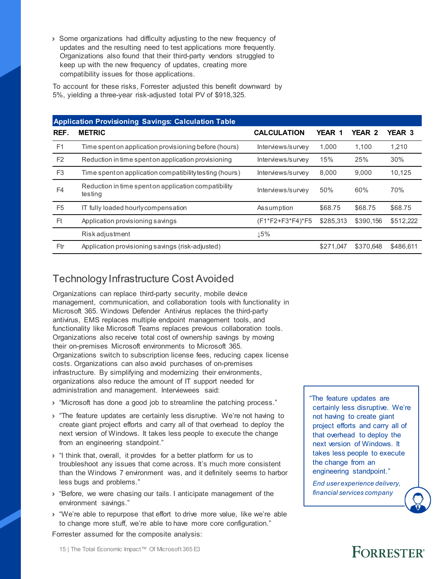› Some organizations had difficulty adjusting to the new frequency of updates and the resulting need to test applications more frequently. Organizations also found that their third-party vendors struggled to keep up with the new frequency of updates, creating more compatibility issues for those applications.

To account for these risks, Forrester adjusted this benefit downward by 5%, yielding a three-year risk-adjusted total PV of \$918,325.

|                | <b>Application Provisioning Savings: Calculation Table</b>      |                    |           |               |               |  |  |  |  |  |  |
|----------------|-----------------------------------------------------------------|--------------------|-----------|---------------|---------------|--|--|--|--|--|--|
| REF.           | <b>METRIC</b>                                                   | <b>CALCULATION</b> | YEAR 1    | <b>YEAR 2</b> | <b>YEAR 3</b> |  |  |  |  |  |  |
| F <sub>1</sub> | Time spent on application provisioning before (hours)           | Interviews/survey  | 1.000     | 1.100         | 1.210         |  |  |  |  |  |  |
| F <sub>2</sub> | Reduction in time spent on application provisioning             | Interviews/survey  | 15%       | 25%           | 30%           |  |  |  |  |  |  |
| F <sub>3</sub> | Time spent on application compatibility testing (hours)         | Interviews/survey  | 8,000     | 9.000         | 10,125        |  |  |  |  |  |  |
| F <sub>4</sub> | Reduction in time spent on application compatibility<br>testing | Interviews/survey  | 50%       | 60%           | 70%           |  |  |  |  |  |  |
| F <sub>5</sub> | IT fully loaded hourly compensation                             | Assumption         | \$68.75   | \$68.75       | \$68.75       |  |  |  |  |  |  |
| Ft             | Application provisioning savings                                | (F1*F2+F3*F4)*F5   | \$285,313 | \$390,156     | \$512,222     |  |  |  |  |  |  |
|                | <b>Riskadjustment</b>                                           | ⊥5%                |           |               |               |  |  |  |  |  |  |
| Ftr            | Application provisioning savings (risk-adjusted)                |                    | \$271.047 | \$370.648     | \$486.611     |  |  |  |  |  |  |

### Technology Infrastructure Cost Avoided

Organizations can replace third-party security, mobile device management, communication, and collaboration tools with functionality in Microsoft 365. Windows Defender Antivirus replaces the third-party antivirus, EMS replaces multiple endpoint management tools, and functionality like Microsoft Teams replaces previous collaboration tools. Organizations also receive total cost of ownership savings by moving their on-premises Microsoft environments to Microsoft 365. Organizations switch to subscription license fees, reducing capex license costs. Organizations can also avoid purchases of on-premises infrastructure. By simplifying and modernizing their environments, organizations also reduce the amount of IT support needed for administration and management. Interviewees said:

- › "Microsoft has done a good job to streamline the patching process."
- › "The feature updates are certainly less disruptive. We're not having to create giant project efforts and carry all of that overhead to deploy the next version of Windows. It takes less people to execute the change from an engineering standpoint."
- › "I think that, overall, it provides for a better platform for us to troubleshoot any issues that come across. It's much more consistent than the Windows 7 environment was, and it definitely seems to harbor less bugs and problems."
- › "Before, we were chasing our tails. I anticipate management of the environment savings."
- › "We're able to repurpose that effort to drive more value, like we're able to change more stuff, we're able to have more core configuration."

Forrester assumed for the composite analysis:

"The feature updates are certainly less disruptive. We're not having to create giant project efforts and carry all of that overhead to deploy the next version of Windows. It takes less people to execute the change from an engineering standpoint."

*End user experience delivery, financial services company*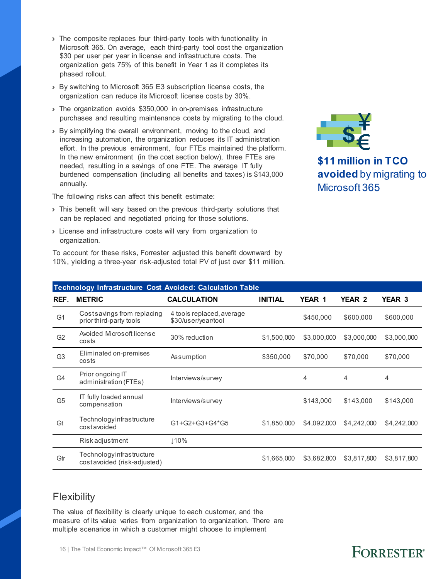- › The composite replaces four third-party tools with functionality in Microsoft 365. On average, each third-party tool cost the organization \$30 per user per year in license and infrastructure costs. The organization gets 75% of this benefit in Year 1 as it completes its phased rollout.
- › By switching to Microsoft 365 E3 subscription license costs, the organization can reduce its Microsoft license costs by 30%.
- › The organization avoids \$350,000 in on-premises infrastructure purchases and resulting maintenance costs by migrating to the cloud.
- › By simplifying the overall environment, moving to the cloud, and increasing automation, the organization reduces its IT administration effort. In the previous environment, four FTEs maintained the platform. In the new environment (in the cost section below), three FTEs are needed, resulting in a savings of one FTE. The average IT fully burdened compensation (including all benefits and taxes) is \$143,000 annually.

The following risks can affect this benefit estimate:

- › This benefit will vary based on the previous third-party solutions that can be replaced and negotiated pricing for those solutions.
- › License and infrastructure costs will vary from organization to organization.

To account for these risks, Forrester adjusted this benefit downward by 10%, yielding a three-year risk-adjusted total PV of just over \$11 million.



**\$11 million in TCO avoided** by migrating to Microsoft 365

|                | <b>Technology Infrastructure Cost Avoided: Calculation Table</b> |                                                  |                |             |                |                   |  |  |  |  |  |
|----------------|------------------------------------------------------------------|--------------------------------------------------|----------------|-------------|----------------|-------------------|--|--|--|--|--|
| REF.           | <b>METRIC</b>                                                    | <b>CALCULATION</b>                               | <b>INITIAL</b> | YEAR 1      | <b>YEAR 2</b>  | YEAR <sub>3</sub> |  |  |  |  |  |
| G <sub>1</sub> | Cost savings from replacing<br>prior third-party tools           | 4 tools replaced, average<br>\$30/user/year/tool |                | \$450,000   | \$600,000      | \$600,000         |  |  |  |  |  |
| G <sub>2</sub> | Avoided Microsoft license<br>costs                               | 30% reduction                                    | \$1,500,000    | \$3,000,000 | \$3,000,000    | \$3,000,000       |  |  |  |  |  |
| G <sub>3</sub> | Eliminated on-premises<br>costs                                  | Assumption                                       | \$350,000      | \$70,000    | \$70,000       | \$70,000          |  |  |  |  |  |
| G <sub>4</sub> | Prior ongoing IT<br>administration (FTEs)                        | Interviews/survey                                |                | 4           | $\overline{4}$ | $\overline{4}$    |  |  |  |  |  |
| G <sub>5</sub> | IT fully loaded annual<br>compensation                           | Interviews/survey                                |                | \$143,000   | \$143,000      | \$143,000         |  |  |  |  |  |
| Gt             | Technologyinfrastructure<br>costavoided                          | G1+G2+G3+G4*G5                                   | \$1,850,000    | \$4,092,000 | \$4,242,000    | \$4,242,000       |  |  |  |  |  |
|                | Risk adjustment                                                  | ↓10%                                             |                |             |                |                   |  |  |  |  |  |
| Gtr            | Technologyinfrastructure<br>cost avoided (risk-adjusted)         |                                                  | \$1,665,000    | \$3,682,800 | \$3,817,800    | \$3,817,800       |  |  |  |  |  |
|                |                                                                  |                                                  |                |             |                |                   |  |  |  |  |  |

#### **Flexibility**

The value of flexibility is clearly unique to each customer, and the measure of its value varies from organization to organization. There are multiple scenarios in which a customer might choose to implement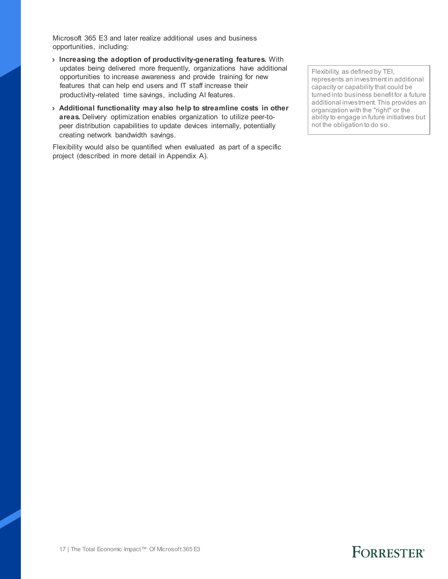Microsoft 365 E3 and later realize additional uses and business opportunities, including:

- › **Increasing the adoption of productivity-generating features.** With updates being delivered more frequently, organizations have additional opportunities to increase awareness and provide training for new features that can help end users and IT staff increase their productivity-related time savings, including AI features.
- › **Additional functionality may also help to streamline costs in other areas.** Delivery optimization enables organization to utilize peer-topeer distribution capabilities to update devices internally, potentially creating network bandwidth savings.

Flexibility would also be quantified when evaluated as part of a specific project (described in more detail in Appendix A).

Flexibility, as defined by TEI, represents an investment in additional capacity or capability that could be turned into business benefit for a future additional investment. This provides an organization with the "right" or the ability to engage in future initiatives but not the obligation to do so.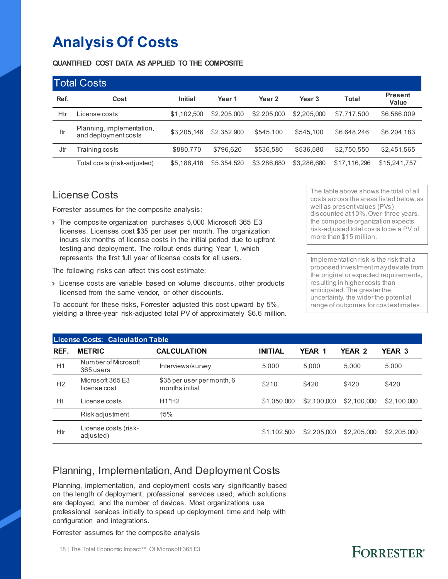## **Analysis Of Costs**

**QUANTIFIED COST DATA AS APPLIED TO THE COMPOSITE**

|      | <b>Total Costs</b>                                |                |             |             |                   |              |                         |
|------|---------------------------------------------------|----------------|-------------|-------------|-------------------|--------------|-------------------------|
| Ref. | Cost                                              | <b>Initial</b> | Year 1      | Year 2      | Year <sub>3</sub> | <b>Total</b> | <b>Present</b><br>Value |
| Htr  | License costs                                     | \$1.102.500    | \$2,205,000 | \$2,205,000 | \$2,205,000       | \$7,717,500  | \$6,586,009             |
| Itr  | Planning, implementation,<br>and deployment costs | \$3,205,146    | \$2,352,900 | \$545,100   | \$545,100         | \$6,648,246  | \$6,204,183             |
| Jtr  | Training costs                                    | \$880.770      | \$796.620   | \$536,580   | \$536,580         | \$2,750,550  | \$2,451,565             |
|      | Total costs (risk-adjusted)                       | \$5,188,416    | \$5.354.520 | \$3,286,680 | \$3,286,680       | \$17,116,296 | \$15,241,757            |

#### License Costs

Forrester assumes for the composite analysis:

› The composite organization purchases 5,000 Microsoft 365 E3 licenses. Licenses cost \$35 per user per month. The organization incurs six months of license costs in the initial period due to upfront testing and deployment. The rollout ends during Year 1, which represents the first full year of license costs for all users.

The following risks can affect this cost estimate:

› License costs are variable based on volume discounts, other products licensed from the same vendor, or other discounts.

To account for these risks, Forrester adjusted this cost upward by 5%, yielding a three-year risk-adjusted total PV of approximately \$6.6 million. The table above shows the total of all costs across the areas listed below, as well as present values (PVs) discounted at 10%. Over three years, the composite organization expects risk-adjusted total costs to be a PV of more than \$15 million.

Implementation risk is the risk that a proposed investment may deviate from the original or expected requirements, resulting in higher costs than anticipated. The greater the uncertainty, the wider the potential range of outcomes for cost estimates.

FORRESTER®

| <b>License Costs: Calculation Table</b> |                                   |                                              |                |               |             |               |  |  |  |  |
|-----------------------------------------|-----------------------------------|----------------------------------------------|----------------|---------------|-------------|---------------|--|--|--|--|
| REF.                                    | <b>METRIC</b>                     | <b>CALCULATION</b>                           | <b>INITIAL</b> | <b>YEAR 1</b> | YEAR 2      | <b>YEAR 3</b> |  |  |  |  |
| H1                                      | Number of Microsoft<br>365 users  | Interviews/survey                            | 5,000          | 5.000         | 5.000       | 5.000         |  |  |  |  |
| H <sub>2</sub>                          | Microsoft 365 F3<br>license cost  | \$35 per user per month, 6<br>months initial | \$210          | \$420         | \$420       | \$420         |  |  |  |  |
| Ht                                      | License costs                     | $H1*H2$                                      | \$1,050,000    | \$2,100,000   | \$2,100,000 | \$2,100,000   |  |  |  |  |
|                                         | Riskadjustment                    | 15%                                          |                |               |             |               |  |  |  |  |
| Htr                                     | License costs (risk-<br>adjusted) |                                              | \$1,102,500    | \$2,205,000   | \$2,205,000 | \$2,205,000   |  |  |  |  |

### Planning, Implementation, And Deployment Costs

Planning, implementation, and deployment costs vary significantly based on the length of deployment, professional services used, which solutions are deployed, and the number of devices. Most organizations use professional services initially to speed up deployment time and help with configuration and integrations.

Forrester assumes for the composite analysis

18 | The Total Economic Impact™ Of Microsoft 365 E3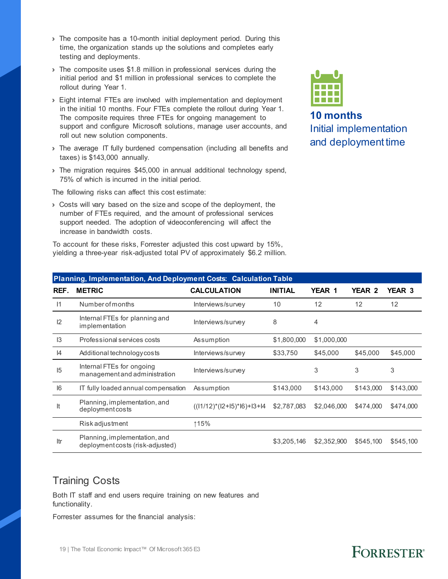- › The composite has a 10-month initial deployment period. During this time, the organization stands up the solutions and completes early testing and deployments.
- > The composite uses \$1.8 million in professional services during the initial period and \$1 million in professional services to complete the rollout during Year 1.
- › Eight internal FTEs are involved with implementation and deployment in the initial 10 months. Four FTEs complete the rollout during Year 1. The composite requires three FTEs for ongoing management to support and configure Microsoft solutions, manage user accounts, and roll out new solution components.
- › The average IT fully burdened compensation (including all benefits and taxes) is \$143,000 annually.
- › The migration requires \$45,000 in annual additional technology spend, 75% of which is incurred in the initial period.

The following risks can affect this cost estimate:

› Costs will vary based on the size and scope of the deployment, the number of FTEs required, and the amount of professional services support needed. The adoption of videoconferencing will affect the increase in bandwidth costs.

To account for these risks, Forrester adjusted this cost upward by 15%, yielding a three-year risk-adjusted total PV of approximately \$6.2 million.



**10 months** Initial implementation and deployment time

| Planning, Implementation, And Deployment Costs: Calculation Table |                                                                   |                                 |                |             |               |               |  |  |
|-------------------------------------------------------------------|-------------------------------------------------------------------|---------------------------------|----------------|-------------|---------------|---------------|--|--|
| REF.                                                              | <b>METRIC</b>                                                     | <b>CALCULATION</b>              | <b>INITIAL</b> | YEAR 1      | <b>YEAR 2</b> | <b>YEAR 3</b> |  |  |
| $\vert$ 1                                                         | Number of months                                                  | Interviews/survey               | 10             | 12          | 12            | 12            |  |  |
| 12                                                                | Internal FTEs for planning and<br>implementation                  | Interviews/survey               | 8              | 4           |               |               |  |  |
| 3                                                                 | Professional services costs                                       | Assumption                      | \$1,800,000    | \$1,000,000 |               |               |  |  |
| 4                                                                 | Additional technology costs                                       | Interviews/survey               | \$33,750       | \$45,000    | \$45,000      | \$45,000      |  |  |
| 15                                                                | Internal FTEs for ongoing<br>management and administration        | Interviews/survey               |                | 3           | 3             | 3             |  |  |
| 6                                                                 | IT fully loaded annual compensation                               | Assumption                      | \$143,000      | \$143,000   | \$143,000     | \$143,000     |  |  |
| It                                                                | Planning, implementation, and<br>deployment costs                 | $((11/12)^*(12+15)^*[6]+13+14)$ | \$2,787,083    | \$2,046,000 | \$474,000     | \$474,000     |  |  |
|                                                                   | <b>Riskadjustment</b>                                             | ↑15%                            |                |             |               |               |  |  |
| Itr                                                               | Planning, implementation, and<br>deployment costs (risk-adjusted) |                                 | \$3,205,146    | \$2,352,900 | \$545,100     | \$545,100     |  |  |

#### Training Costs

Both IT staff and end users require training on new features and functionality.

Forrester assumes for the financial analysis: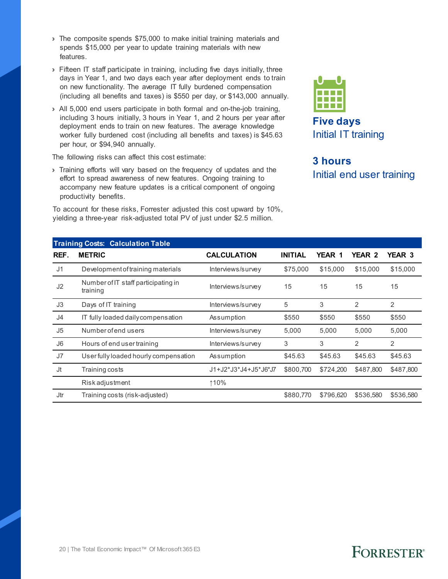- › The composite spends \$75,000 to make initial training materials and spends \$15,000 per year to update training materials with new features.
- › Fifteen IT staff participate in training, including five days initially, three days in Year 1, and two days each year after deployment ends to train on new functionality. The average IT fully burdened compensation (including all benefits and taxes) is \$550 per day, or \$143,000 annually.
- › All 5,000 end users participate in both formal and on-the-job training, including 3 hours initially, 3 hours in Year 1, and 2 hours per year after deployment ends to train on new features. The average knowledge worker fully burdened cost (including all benefits and taxes) is \$45.63 per hour, or \$94,940 annually.

The following risks can affect this cost estimate:

› Training efforts will vary based on the frequency of updates and the effort to spread awareness of new features. Ongoing training to accompany new feature updates is a critical component of ongoing productivity benefits.

To account for these risks, Forrester adjusted this cost upward by 10%, yielding a three-year risk-adjusted total PV of just under \$2.5 million.



### **3 hours** Initial end user training

|                | <b>Training Costs: Calculation Table</b>        |                      |                |               |                |               |
|----------------|-------------------------------------------------|----------------------|----------------|---------------|----------------|---------------|
| REF.           | <b>METRIC</b>                                   | <b>CALCULATION</b>   | <b>INITIAL</b> | <b>YEAR 1</b> | <b>YEAR 2</b>  | <b>YEAR 3</b> |
| J <sub>1</sub> | Development of training materials               | Interviews/survey    | \$75,000       | \$15,000      | \$15,000       | \$15,000      |
| J <sub>2</sub> | Number of IT staff participating in<br>training | Interviews/survey    | 15             | 15            | 15             | 15            |
| J3             | Days of IT training                             | Interviews/survey    | 5              | 3             | $\overline{2}$ | 2             |
| J <sub>4</sub> | IT fully loaded daily compensation              | Assumption           | \$550          | \$550         | \$550          | \$550         |
| J <sub>5</sub> | Number of end users                             | Interviews/survey    | 5,000          | 5,000         | 5,000          | 5,000         |
| J <sub>6</sub> | Hours of end user training                      | Interviews/survey    | 3              | 3             | 2              | 2             |
| J7             | User fully loaded hourly compensation           | Assumption           | \$45.63        | \$45.63       | \$45.63        | \$45.63       |
| Jt             | Training costs                                  | J1+J2*J3*J4+J5*J6*J7 | \$800,700      | \$724,200     | \$487,800      | \$487,800     |
|                | <b>Riskadjustment</b>                           | ↑10%                 |                |               |                |               |
| Jtr            | Training costs (risk-adjusted)                  |                      | \$880.770      | \$796.620     | \$536,580      | \$536,580     |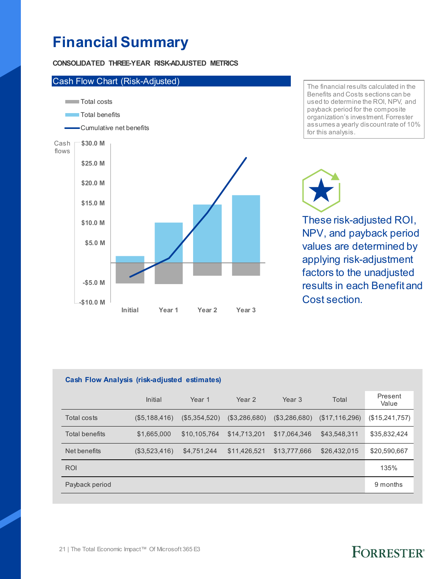### **Financial Summary**

**CONSOLIDATED THREE-YEAR RISK-ADJUSTED METRICS**



The financial results calculated in the Benefits and Costs sections can be used to determine the ROI, NPV, and payback period for the composite organization's investment. Forrester assumes a yearly discount rate of 10% for this analysis.

These risk-adjusted ROI, NPV, and payback period values are determined by

applying risk-adjustment factors to the unadjusted results in each Benefit and Cost section.

| <b>Cash Flow Analysis (risk-adjusted estimates)</b> |               |               |               |               |                |                  |  |
|-----------------------------------------------------|---------------|---------------|---------------|---------------|----------------|------------------|--|
|                                                     | Initial       | Year 1        | Year 2        | Year 3        | Total          | Present<br>Value |  |
| Total costs                                         | (\$5,188,416) | (\$5,354,520) | (\$3,286,680) | (\$3,286,680) | (\$17,116,296) | (\$15,241,757)   |  |
| Total benefits                                      | \$1,665,000   | \$10.105.764  | \$14.713.201  | \$17.064.346  | \$43.548.311   | \$35,832,424     |  |
| Net benefits                                        | (\$3,523,416) | \$4,751,244   | \$11,426,521  | \$13,777,666  | \$26.432.015   | \$20,590,667     |  |
| <b>ROI</b>                                          |               |               |               |               |                | 135%             |  |
| Payback period                                      |               |               |               |               |                | 9 months         |  |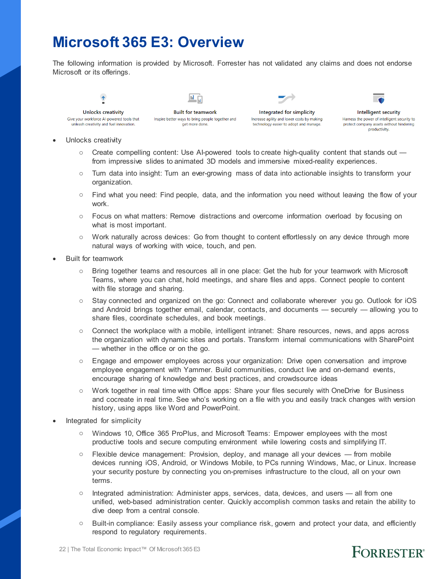### **Microsoft 365 E3: Overview**

The following information is provided by Microsoft. Forrester has not validated any claims and does not endorse Microsoft or its offerings.

**Unlocks creativity** Give your workforce AI-powered tools that unleash creativity and fuel innovation.

ы **Built for teamwork** Inspire better ways to bring people together and

get more done.

Integrated for simplicity Increase agility and lower costs by making technology easier to adopt and manage.



- Unlocks creativity
	- o Create compelling content: Use AI-powered tools to create high-quality content that stands out from impressive slides to animated 3D models and immersive mixed-reality experiences.
	- o Turn data into insight: Turn an ever-growing mass of data into actionable insights to transform your organization.
	- o Find what you need: Find people, data, and the information you need without leaving the flow of your work.
	- o Focus on what matters: Remove distractions and overcome information overload by focusing on what is most important.
	- o Work naturally across devices: Go from thought to content effortlessly on any device through more natural ways of working with voice, touch, and pen.
- Built for teamwork
	- o Bring together teams and resources all in one place: Get the hub for your teamwork with Microsoft Teams, where you can chat, hold meetings, and share files and apps. Connect people to content with file storage and sharing.
	- o Stay connected and organized on the go: Connect and collaborate wherever you go. Outlook for iOS and Android brings together email, calendar, contacts, and documents — securely — allowing you to share files, coordinate schedules, and book meetings.
	- o Connect the workplace with a mobile, intelligent intranet: Share resources, news, and apps across the organization with dynamic sites and portals. Transform internal communications with SharePoint — whether in the office or on the go.
	- o Engage and empower employees across your organization: Drive open conversation and improve employee engagement with Yammer. Build communities, conduct live and on-demand events, encourage sharing of knowledge and best practices, and crowdsource ideas
	- o Work together in real time with Office apps: Share your files securely with OneDrive for Business and cocreate in real time. See who's working on a file with you and easily track changes with version history, using apps like Word and PowerPoint.
- Integrated for simplicity
	- o Windows 10, Office 365 ProPlus, and Microsoft Teams: Empower employees with the most productive tools and secure computing environment while lowering costs and simplifying IT.
	- o Flexible device management: Provision, deploy, and manage all your devices from mobile devices running iOS, Android, or Windows Mobile, to PCs running Windows, Mac, or Linux. Increase your security posture by connecting you on-premises infrastructure to the cloud, all on your own terms.
	- o Integrated administration: Administer apps, services, data, devices, and users all from one unified, web-based administration center. Quickly accomplish common tasks and retain the ability to dive deep from a central console.
	- o Built-in compliance: Easily assess your compliance risk, govern and protect your data, and efficiently respond to regulatory requirements.

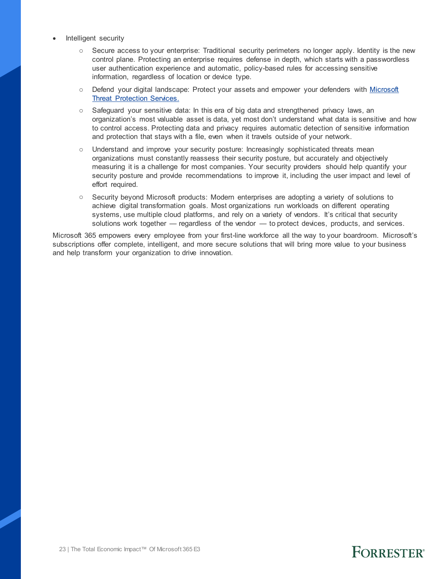- Intelligent security
	- o Secure access to your enterprise: Traditional security perimeters no longer apply. Identity is the new control plane. Protecting an enterprise requires defense in depth, which starts with a passwordless user authentication experience and automatic, policy-based rules for accessing sensitive information, regardless of location or device type.
	- o Defend your digital landscape: Protect your assets and empower your defenders with Microsoft [Threat Protection Services.](https://www.microsoft.com/en-us/security/technology/threat-protection)
	- o Safeguard your sensitive data: In this era of big data and strengthened privacy laws, an organization's most valuable asset is data, yet most don't understand what data is sensitive and how to control access. Protecting data and privacy requires automatic detection of sensitive information and protection that stays with a file, even when it travels outside of your network.
	- o Understand and improve your security posture: Increasingly sophisticated threats mean organizations must constantly reassess their security posture, but accurately and objectively measuring it is a challenge for most companies. Your security providers should help quantify your security posture and provide recommendations to improve it, including the user impact and level of effort required.
	- o Security beyond Microsoft products: Modern enterprises are adopting a variety of solutions to achieve digital transformation goals. Most organizations run workloads on different operating systems, use multiple cloud platforms, and rely on a variety of vendors. It's critical that security solutions work together — regardless of the vendor — to protect devices, products, and services.

Microsoft 365 empowers every employee from your first-line workforce all the way to your boardroom. Microsoft's subscriptions offer complete, intelligent, and more secure solutions that will bring more value to your business and help transform your organization to drive innovation.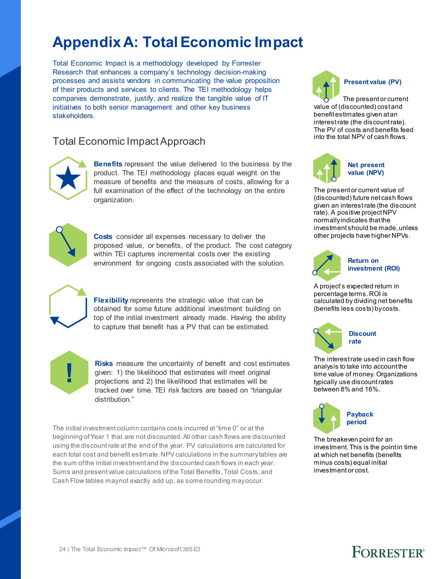## **Appendix A: Total Economic Impact**

Total Economic Impact is a methodology developed by Forrester Research that enhances a company's technology decision-making processes and assists vendors in communicating the value proposition of their products and services to clients. The TEI methodology helps companies demonstrate, justify, and realize the tangible value of IT initiatives to both senior management and other key business stakeholders.

#### Total Economic Impact Approach



**Benefits** represent the value delivered to the business by the product. The TEI methodology places equal weight on the measure of benefits and the measure of costs, allowing for a full examination of the effect of the technology on the entire organization.



**Costs** consider all expenses necessary to deliver the proposed value, or benefits, of the product. The cost category within TEI captures incremental costs over the existing environment for ongoing costs associated with the solution.



**Flexibility** represents the strategic value that can be obtained for some future additional investment building on top of the initial investment already made. Having the ability to capture that benefit has a PV that can be estimated.



**Risks** measure the uncertainty of benefit and cost estimates given: 1) the likelihood that estimates will meet original projections and 2) the likelihood that estimates will be tracked over time. TEI risk factors are based on "triangular distribution."

The initial investment column contains costs incurred at "time 0" or at the beginning of Year 1 that are not discounted. All other cash flows are discounted using the discount rate at the end of the year. PV calculations are calculated for each total cost and benefit estimate. NPV calculations in the summary tables are the sum of the initial investment and the discounted cash flows in each year. Sums and present value calculations of the Total Benefits, Total Costs, and Cash Flow tables may not exactly add up, as some rounding may occur.



The present or current value of (discounted) cost and benefit estimates given at an interest rate (the discount rate). The PV of costs and benefits feed into the total NPV of cash flows.



The present or current value of (discounted) future net cash flows given an interest rate (the discount rate). A positive project NPV normally indicates that the investment should be made, unless other projects have higher NPVs.



**investment (ROI)**

A project's expected return in percentage terms. ROI is calculated by dividing net benefits (benefits less costs) by costs.



The interest rate used in cash flow analysis to take into account the time value of money. Organizations typically use discount rates between 8% and 16%.



The breakeven point for an investment. This is the point in time at which net benefits (benefits minus costs) equal initial investment or cost.